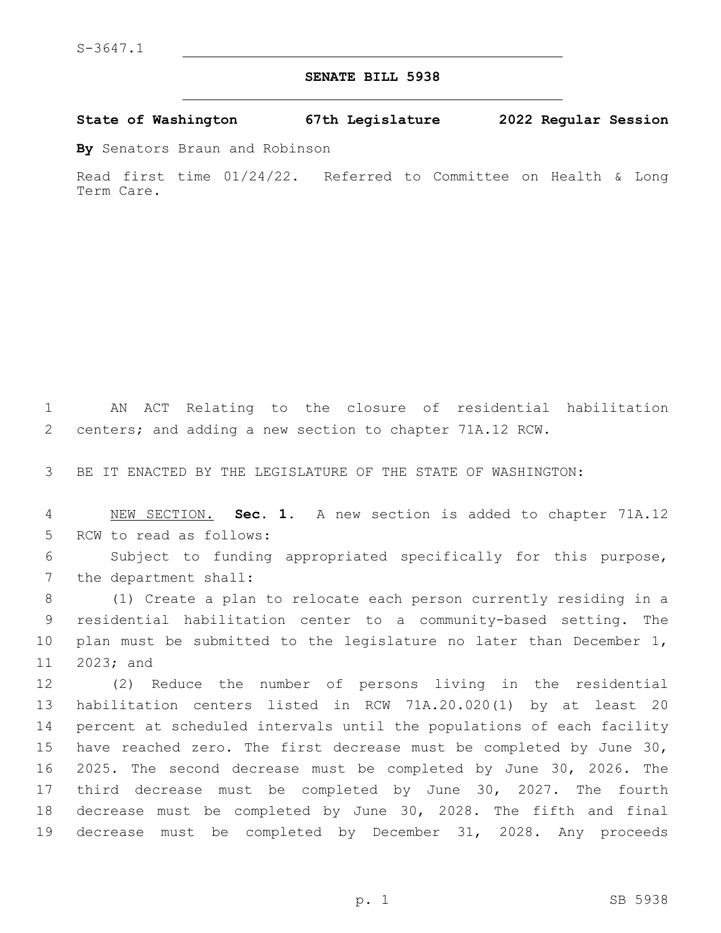## **SENATE BILL 5938**

**State of Washington 67th Legislature 2022 Regular Session**

**By** Senators Braun and Robinson

Read first time 01/24/22. Referred to Committee on Health & Long Term Care.

 AN ACT Relating to the closure of residential habilitation centers; and adding a new section to chapter 71A.12 RCW.

BE IT ENACTED BY THE LEGISLATURE OF THE STATE OF WASHINGTON:

 NEW SECTION. **Sec. 1.** A new section is added to chapter 71A.12 5 RCW to read as follows:

 Subject to funding appropriated specifically for this purpose, 7 the department shall:

 (1) Create a plan to relocate each person currently residing in a residential habilitation center to a community-based setting. The plan must be submitted to the legislature no later than December 1, 11 2023; and

 (2) Reduce the number of persons living in the residential habilitation centers listed in RCW 71A.20.020(1) by at least 20 percent at scheduled intervals until the populations of each facility have reached zero. The first decrease must be completed by June 30, 2025. The second decrease must be completed by June 30, 2026. The third decrease must be completed by June 30, 2027. The fourth decrease must be completed by June 30, 2028. The fifth and final decrease must be completed by December 31, 2028. Any proceeds